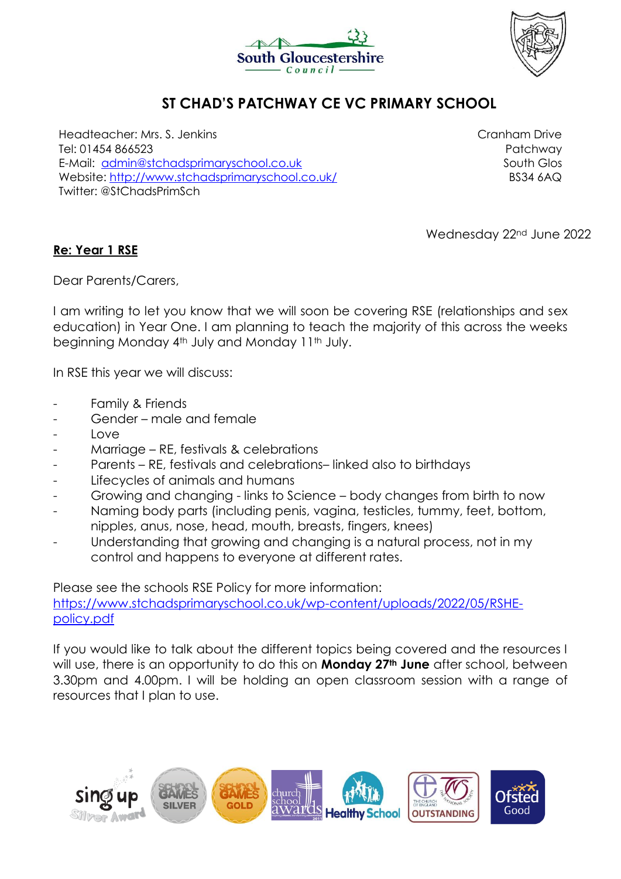



## **ST CHAD'S PATCHWAY CE VC PRIMARY SCHOOL**

Headteacher: Mrs. S. Jenkins Tel: 01454 866523 E-Mail: [admin@stchadsprimaryschool.co.uk](mailto:admin@stchadsprimaryschool.co.uk) Website:<http://www.stchadsprimaryschool.co.uk/> Twitter: @StChadsPrimSch

Cranham Drive Patchway South Glos BS34 6AQ

Wednesday 22<sup>nd</sup> June 2022

## **Re: Year 1 RSE**

Dear Parents/Carers,

I am writing to let you know that we will soon be covering RSE (relationships and sex education) in Year One. I am planning to teach the majority of this across the weeks beginning Monday 4<sup>th</sup> July and Monday 11<sup>th</sup> July.

In RSE this year we will discuss:

- Family & Friends
- Gender male and female
- Love
- Marriage RE, festivals & celebrations
- Parents RE, festivals and celebrations– linked also to birthdays
- Lifecycles of animals and humans
- Growing and changing links to Science body changes from birth to now
- Naming body parts (including penis, vagina, testicles, tummy, feet, bottom, nipples, anus, nose, head, mouth, breasts, fingers, knees)
- Understanding that growing and changing is a natural process, not in my control and happens to everyone at different rates.

Please see the schools RSE Policy for more information:

[https://www.stchadsprimaryschool.co.uk/wp-content/uploads/2022/05/RSHE](https://www.stchadsprimaryschool.co.uk/wp-content/uploads/2022/05/RSHE-policy.pdf)[policy.pdf](https://www.stchadsprimaryschool.co.uk/wp-content/uploads/2022/05/RSHE-policy.pdf)

If you would like to talk about the different topics being covered and the resources I will use, there is an opportunity to do this on **Monday 27th June** after school, between 3.30pm and 4.00pm. I will be holding an open classroom session with a range of resources that I plan to use.